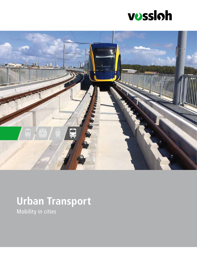



### **Urban Transport**  Mobility in cities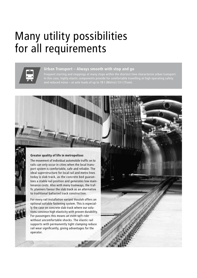## Many utility possibilities for all requirements



### **Urban Transport – Always smooth with stop and go**

Frequent starting and stoppings at many stops within the shortest time characterize urban transport. In this case, highly elastic components provide for comfortable travelling at high operating safety

### **Greater quality of life in metropolises**

The movement of individual automobile traffic on to rails can only occur in cities when the local transport system is comfortable, safe and reliable. The ideal superstructure for local rail and metro lines today is slab track, as the concrete bed guarantees a stable rail position and generates low maintenance costs. Also with many tramways, the traffic planners favour the slab track as an alternative to traditional ballasted track construction.

For every rail installation variant Vossloh offers an optional suitable fastening system. This is especially the case on concrete slab track where our solutions convince high elasticity with proven durability. For passengers this means an even soft ride without uncomfortable shocks. The elastic rail supports with permanently tight clamping reduce rail wear significantly, giving advantages for the operator.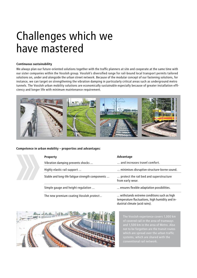## Challenges which we have mastered

### **Continuous sustainability**

We always plan our future-oriented solutions together with the traffic planners at site and cooperate at the same time with our sister companies within the Vossloh group. Vossloh's diversified range for rail-bound local transport permits tailored solutions on, under and alongside the urban street network. Because of the modular concept of our fastening solutions, for instance, we can target on strengthening the vibration damping in particularly critical areas such as underground metro tunnels. The Vossloh urban mobility solutions are economically sustainable especially because of greater installation efficiency and longer life with minimum maintenance requirement.



### **Competence in urban mobility – properties and advantages:**

|  | <b>Property</b>                                  | Advantage                                                                                     |  |  |  |  |
|--|--------------------------------------------------|-----------------------------------------------------------------------------------------------|--|--|--|--|
|  | Vibration damping prevents shocks                | and increases travel comfort.                                                                 |  |  |  |  |
|  | Highly elastic rail support                      | minimises disruptive structure-borne sound.                                                   |  |  |  |  |
|  | Stable and long-life fatigue strength components | protect the rail bed and superstructure<br>from early wear.                                   |  |  |  |  |
|  | Simple gauge and height regulation               | ensures flexible adaptation possibilities.                                                    |  |  |  |  |
|  | The new premium coating Vossloh protect          | withstands extreme conditions such as high<br>tomnovatuva fluotuotiona, kiek kunsiditu onalin |  |  |  |  |

temperature fluctuations, high humidity and industrial climate (acid rains).



The Vossloh experience covers 1,000 km of covered rail in the area of tramways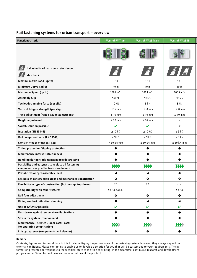| Rail fastening systems for urban transport - overview |  |
|-------------------------------------------------------|--|
|-------------------------------------------------------|--|

| <b>Function/criteria</b>                                                                      | <b>Vossloh W Tram</b>     | <b>Vossloh W 25 Tram</b>  | Vossloh W 25 N           |
|-----------------------------------------------------------------------------------------------|---------------------------|---------------------------|--------------------------|
|                                                                                               |                           |                           |                          |
|                                                                                               |                           |                           |                          |
| $\left  \vec{A} \right $ ballasted track with concrete sleeper                                |                           |                           | $\not\!\!\equiv$         |
| $\sqrt{2}$ slab track                                                                         |                           |                           |                          |
| <b>Maximum Axle Load (up to)</b>                                                              | 13 <sub>t</sub>           | 13 <sub>t</sub>           | 13 <sub>t</sub>          |
| <b>Minimum Curve Radius</b>                                                                   | 40 m                      | 40 m                      | 40 m                     |
| <b>Maximum Speed (up to)</b>                                                                  | 100 km/h                  | 100 km/h                  | 100 km/h                 |
| <b>Assembly Clip</b>                                                                          | <b>Skl 21</b>             | <b>Skl 25</b>             | <b>Skl 25</b>            |
| Toe load/clamping force (per clip)                                                            | 10 kN                     | 8 kN                      | 8 kN                     |
| Vertical fatigue strength (per clip)                                                          | $2.5$ mm                  | $2.0$ mm                  | $2.0 \text{ mm}$         |
| Track adjustment (range gauge adjustment)                                                     | $\pm$ 10 mm               | $± 10$ mm                 | $\pm$ 10 mm              |
| <b>Height adjustment</b>                                                                      | $+20$ mm                  | $+16$ mm                  | $\overline{\phantom{m}}$ |
| <b>Switch solution possible</b>                                                               | $\mathbf{v}$              | $\mathbf{v}$              | $\pmb{\times}$           |
| Insulation (EN 13146)                                                                         | $\geq 10 \text{ k}\Omega$ | $\geq 10 \text{ k}\Omega$ | $\geq$ 5 k $\Omega$      |
| Rail creep resistance (EN 13146)                                                              | $\geq 9$ kN               | $\geq 9$ kN               | $\geq 9$ kN              |
| Static stiffness of the rail pad                                                              | $>$ 30 kN/mm              | $\geq 60$ kN/mm           | $\geq 60$ kN/mm          |
| <b>Tilting protection/tipping protection</b>                                                  | $\bullet$                 | $\bullet$                 | $\bullet$                |
| <b>Maintenance intervals (frequency)</b>                                                      | $\bullet$                 | $\bullet$                 | $\bullet$                |
| Handling during track maintenance/destressing                                                 | $\bullet$                 | $\bullet$                 | $\bullet$                |
| Possibility and easyness to replace all fastening<br>components (e.g. after train derailment) | $\sum$                    | 2222                      | $\sum$                   |
| Prefabrication/pre-assembly level                                                             | $\bullet$                 | $\bullet$                 | $\bullet$                |
| Easiness of construction steps and mechanized construction                                    | $\bullet$                 | $\bullet$                 | $\bullet$                |
| Flexibility in type of construction (bottom-up, top-down)                                     | TD                        | <b>TD</b>                 | n. a.                    |
| <b>Compatibility with other systems</b>                                                       | Skl 14, Skl 30            | $\overline{\phantom{a}}$  | <b>Skl 14</b>            |
| Rail foot adjustment                                                                          | $\bullet$                 | $\bullet$                 | $\bullet$                |
| Riding comfort/vibration damping                                                              | $\bullet$                 | $\bullet$                 | $\bullet$                |
| Use of cellentic possible                                                                     | $\boldsymbol{\nu}$        | $\boldsymbol{\nu}$        | $\mathbf v$              |
| Resistance against temperature fluctuations                                                   | $\bullet$                 | $\bullet$                 | $\bullet$                |
| <b>Stress for system (components)</b>                                                         |                           | e                         | $\bullet$                |
| Maintenance-, service-, labor costs; costs<br>for operating complications                     | $\sum$                    | $\sum$                    | $\sum$                   |
| Life cycle/reuse (components and sleeper)                                                     | $\bullet$                 | $\bullet$                 | $\bullet$                |

#### **Remark**

Contents, figures and technical data in this brochure display the performance of the fastening system, however, they always depend on external conditions. Please contact us to enable us to develop a solution for you that will be customized to your requirements. The information presented corresponds to the technical state at the time of printing; in the meantime, continuous research and development programmes at Vossloh could have caused adaptations of the product.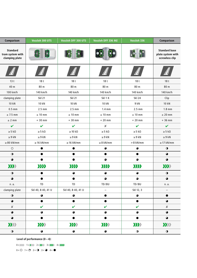| Comparison                                            | Vossloh 300 UTS                      | Vossloh DFF 300 UTS   | Vossloh DFF 336 NG     | Vossloh 336         | <b>Comparison</b>                                                  |
|-------------------------------------------------------|--------------------------------------|-----------------------|------------------------|---------------------|--------------------------------------------------------------------|
| <b>Standard</b><br>tram system with<br>clamping plate | <b>BIC</b>                           | 81<br>艳               | <b>GD</b><br>$\bullet$ | <b>BR</b> Ha        | <b>Standard base</b><br>plate system with<br>screwless clip        |
| $\left  \frac{1}{2} \right $                          | $\left  \frac{d\vec{r}}{dt} \right $ | E <sup>F</sup>        | E I                    | $\mathbf{E}$        | $\left  \begin{smallmatrix} \frac{1}{2} \end{smallmatrix} \right $ |
| 13 <sub>t</sub>                                       | 18 <sub>t</sub>                      | 18 <sub>t</sub>       | 18 <sub>t</sub>        | 18 <sub>t</sub>     | 18 <sub>t</sub>                                                    |
| 40 m                                                  | 80 <sub>m</sub>                      | 80 m                  | 80 m                   | 80 m                | 80 <sub>m</sub>                                                    |
| 100 km/h                                              | 140 km/h                             | 140 km/h              | 140 km/h               | 140 km/h            | 140 km/h                                                           |
| clamping plate                                        | <b>Skl 21</b>                        | <b>Skl 21</b>         | Skl 1 K                | <b>Skl 24</b>       | Clip                                                               |
| 10 kN                                                 | 10 kN                                | 10 kN                 | 10 kN                  | 9 kN                | 10 kN                                                              |
| $0.5$ mm                                              | $2.5 \text{ mm}$                     | $2.5$ mm              | $1.4 \text{ mm}$       | $2.5$ mm            | $1.8$ mm                                                           |
| $± 7.5$ mm                                            | $\pm$ 10 mm                          | $\pm$ 10 mm           | $\pm$ 10 mm            | $± 10$ mm           | $±$ 20 mm                                                          |
| ± 2 mm                                                | $+30$ mm                             | $+30$ mm              | $+20$ mm               | $+20$ mm            | $+36$ mm                                                           |
| $\checkmark$                                          | $\checkmark$                         | $\checkmark$          | $\pmb{\mathsf{X}}$     | $\checkmark$        | $\checkmark$                                                       |
| $\geq$ 5 k $\Omega$                                   | $\geq$ 5 k $\Omega$                  | $\geq 10~\rm k\Omega$ | $\geq 5$ kΩ            | $\geq$ 5 k $\Omega$ | $\geq$ 5 k $\Omega$                                                |
| $\geq 9$ kN                                           | $\geq 9$ kN                          | $\geq 9$ kN           | $\geq 9$ kN            | $\geq 9$ kN         | $\geq 9$ kN                                                        |
| $\geq 80$ kN/mm                                       | $\geq$ 16 kN/mm                      | $\geq$ 16 kN/mm       | $\geq 8$ kN/mm         | $> 8$ kN/mm         | $\geq$ 17 kN/mm                                                    |
| $\circ$                                               | $\bullet$                            | $\bullet$             | $\bullet$              | $\bullet$           | $\bullet$                                                          |
| $\bullet$                                             | $\bullet$                            | $\bullet$             | $\bullet$              | $\bullet$           | $\bullet$                                                          |
| $\bullet$                                             | $\bullet$                            | $\bullet$             | $\bullet$              | $\bullet$           | $\bullet$                                                          |
| $\sum$                                                | $\sum$                               | $\sum$                | $\sum$                 | $\sum$              | $\sum$                                                             |
| $\bullet$                                             | $\bullet$                            | $\bullet$             | $\bullet$              | $\bullet$           | $\bullet$                                                          |
| $\bullet$                                             | $\bullet$                            | $\bullet$             | $\bullet$              | $\bullet$           | $\bullet$                                                          |
| n. a.                                                 | TD                                   | ${\tt TD}$            | TD/BU                  | TD/BU               | n. a.                                                              |
| clamping plate                                        | Skl 40, B 40, 41 U                   | Skl 40, B 40, 41 U    | $ \,$                  | Skl 12, 3           |                                                                    |
| $\bullet$                                             | $\bullet$                            | $\bullet$             | $\bullet$              | $\bullet$           |                                                                    |
| $\bullet$                                             | $\bullet$                            | $\bullet$             | $\bullet$              | $\bullet$           | $\bullet$                                                          |
| $\pmb{\times}$                                        | $\mathbf{v}$                         | $\mathbf v$           | $\checkmark$           | $\mathbf v$         | $\boldsymbol{X}$                                                   |
| $\bullet$                                             | $\bullet$                            | $\bullet$             | $\bullet$              | $\bullet$           | $\bullet$                                                          |
| $\bullet$                                             |                                      | $\bullet$             | $\bullet$              |                     | $\bullet$                                                          |
| $\sum$                                                | $\sum$                               | $\sum$                | $\sum$                 | $\sum$              | $\sum$                                                             |
| $\bullet$                                             | $\bullet$                            | $\bullet$             | $\bullet$              | $\bullet$           | $\bullet$                                                          |

**Level of performance (0 – 4):**

 $0 = 3333$   $1 = 2333$   $2 = 2233$   $3 = 2223$   $4 = 2223$ 

 $0 = \bigcirc$   $1 = \bigcirc$   $2 = \bigcirc$   $3 = \bigcirc$   $4 = \bigcirc$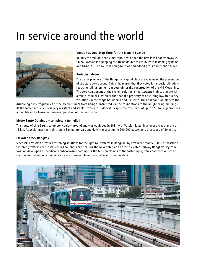# In service around the world



#### **Vossloh as One-Stop Shop for the Tram in Suzhou**

In 2015 the million-people metropolis will open the first low-floor tramway in China. Vossloh is equipping the 18 km double rail route with fastening systems and turnouts. The route is being built as embedded grass and asphalt track.

### **Budapest Metro**

The traffic planners of the Hungarian capital place great value on the prevention of structure borne sound. This is the reason that they voted for a special vibrationreducing rail fastening from Vossloh for the construction of the M4 Metro line. The core component of the system solution is the *cellentic* high-tech material – a micro-cellular elastomer that has the property of absorbing low frequency vibrations in the range between 1 and 30 Hertz. Thus our solution hinders the

drumming bass frequencies of the Metro tunnel from being transmitted via the foundations to the neighboring buildings. At the same time *cellentic* is very resistant and stable – which in Budapest, despite the axle loads of up to 12.5 tons, guarantees a long life and a low-maintenance operation of the new route.

### **Metro Santo Domingo – completely tunnelled**

This route of Line 2 runs completely below ground and was equipped in 2011 with Vossloh fastenings over a track length of 11 km. At peak times the trains run in 3 min. intervals and daily transport up to 200,000 passengers at a speed of 80 km/h.

#### **Elevated track Bangkok**

Since 1994 Vossloh provides fastening solutions for the light rail systems in Bangkok, by now more than 500,000 of Vossloh´s fastening systems are installed in Thailand's capital. For the new extension of the elevated railway Bangkok Skytrain Vossloh developed a specifically anticorrosive coating for the tension clamps of the fastening systems and with our construction and technology partners an easy to assemble and cost-efficient track system.

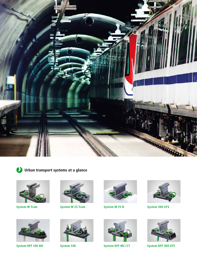



**Urban transport systems at a glance**





**System DFF 336** *NG*



**System W Tram System W 25 Tram System W 25 N System 300 UTS**







**System 336 System DFF MC/CT System DFF 300 UTS**